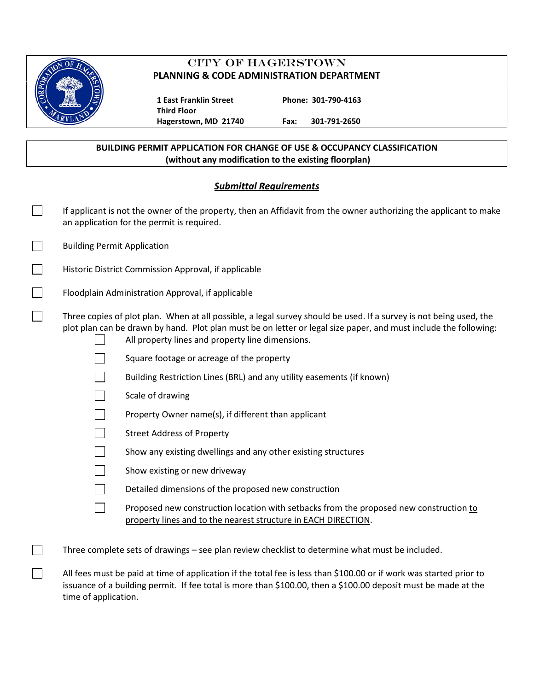

# CITY OF HAGERSTOWN **PLANNING & CODE ADMINISTRATION DEPARTMENT**

**Third Floor**

 **1 East Franklin Street Phone: 301-790-4163**

**Hagerstown, MD 21740 Fax: 301-791-2650**

### **BUILDING PERMIT APPLICATION FOR CHANGE OF USE & OCCUPANCY CLASSIFICATION (without any modification to the existing floorplan)**

## *Submittal Requirements*

| If applicant is not the owner of the property, then an Affidavit from the owner authorizing the applicant to make<br>an application for the permit is required.                                                                                                                            |  |  |  |  |  |
|--------------------------------------------------------------------------------------------------------------------------------------------------------------------------------------------------------------------------------------------------------------------------------------------|--|--|--|--|--|
| <b>Building Permit Application</b>                                                                                                                                                                                                                                                         |  |  |  |  |  |
| Historic District Commission Approval, if applicable                                                                                                                                                                                                                                       |  |  |  |  |  |
| Floodplain Administration Approval, if applicable                                                                                                                                                                                                                                          |  |  |  |  |  |
| Three copies of plot plan. When at all possible, a legal survey should be used. If a survey is not being used, the<br>plot plan can be drawn by hand. Plot plan must be on letter or legal size paper, and must include the following:<br>All property lines and property line dimensions. |  |  |  |  |  |
| Square footage or acreage of the property                                                                                                                                                                                                                                                  |  |  |  |  |  |
| Building Restriction Lines (BRL) and any utility easements (if known)                                                                                                                                                                                                                      |  |  |  |  |  |
| Scale of drawing                                                                                                                                                                                                                                                                           |  |  |  |  |  |
| Property Owner name(s), if different than applicant                                                                                                                                                                                                                                        |  |  |  |  |  |
| <b>Street Address of Property</b>                                                                                                                                                                                                                                                          |  |  |  |  |  |
| Show any existing dwellings and any other existing structures                                                                                                                                                                                                                              |  |  |  |  |  |
| Show existing or new driveway                                                                                                                                                                                                                                                              |  |  |  |  |  |
| Detailed dimensions of the proposed new construction                                                                                                                                                                                                                                       |  |  |  |  |  |
| Proposed new construction location with setbacks from the proposed new construction to<br>property lines and to the nearest structure in EACH DIRECTION.                                                                                                                                   |  |  |  |  |  |
| Three complete sets of drawings - see plan review checklist to determine what must be included.                                                                                                                                                                                            |  |  |  |  |  |
| All fees must be paid at time of application if the total fee is less than \$100.00 or if work was started prior to<br>issuance of a building permit. If fee total is more than \$100.00, then a \$100.00 deposit must be made at the<br>time of application.                              |  |  |  |  |  |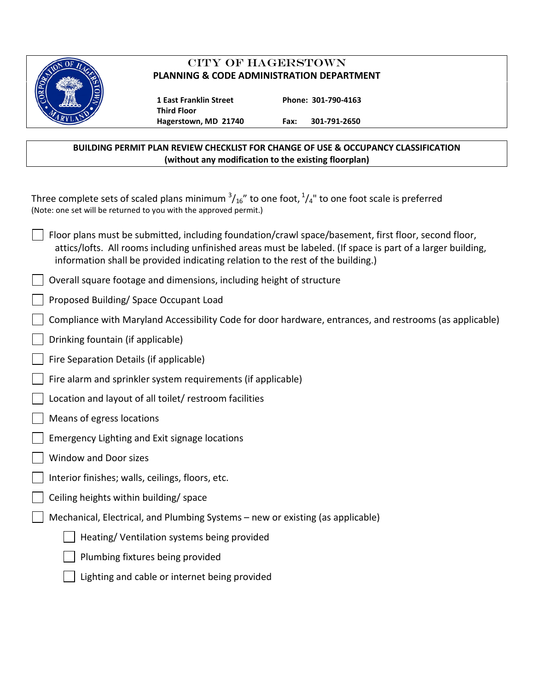

# CITY OF HAGERSTOWN **PLANNING & CODE ADMINISTRATION DEPARTMENT**

 **1 East Franklin Street Phone: 301-790-4163 Third Floor**

**Hagerstown, MD 21740 Fax: 301-791-2650**

### **BUILDING PERMIT PLAN REVIEW CHECKLIST FOR CHANGE OF USE & OCCUPANCY CLASSIFICATION (without any modification to the existing floorplan)**

Three complete sets of scaled plans minimum  $\frac{3}{16}$ " to one foot,  $\frac{1}{4}$ " to one foot scale is preferred (Note: one set will be returned to you with the approved permit.)

- Floor plans must be submitted, including foundation/crawl space/basement, first floor, second floor, attics/lofts. All rooms including unfinished areas must be labeled. (If space is part of a larger building, information shall be provided indicating relation to the rest of the building.)
- Overall square footage and dimensions, including height of structure
- Proposed Building/ Space Occupant Load
- Compliance with Maryland Accessibility Code for door hardware, entrances, and restrooms (as applicable)
- Drinking fountain (if applicable)
- Fire Separation Details (if applicable)
- Fire alarm and sprinkler system requirements (if applicable)
- Location and layout of all toilet/ restroom facilities
- Means of egress locations
- Emergency Lighting and Exit signage locations
- Window and Door sizes
- Interior finishes; walls, ceilings, floors, etc.
- Ceiling heights within building/ space
- Mechanical, Electrical, and Plumbing Systems new or existing (as applicable)
	- Heating/ Ventilation systems being provided
	- Plumbing fixtures being provided
	- Lighting and cable or internet being provided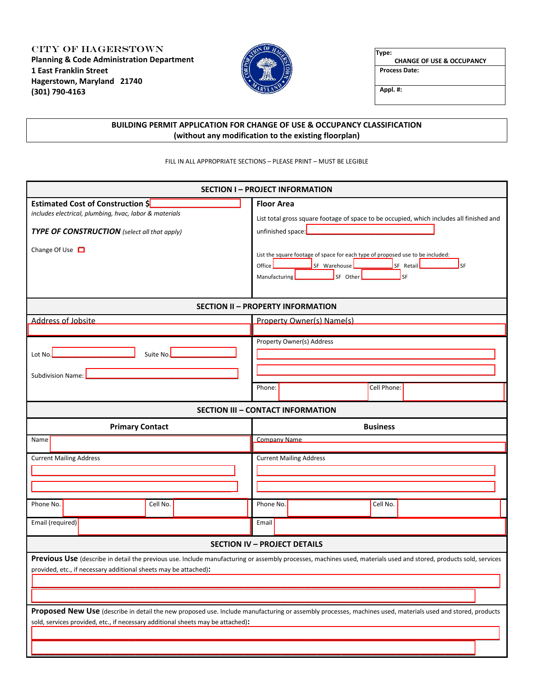City of Hagerstown **Planning & Code Administration Department 1 East Franklin Street Hagerstown, Maryland 21740 (301) 790-4163**



**Type: CHANGE OF USE & OCCUPANCY Process Date:**

**Appl. #:**

### **BUILDING PERMIT APPLICATION FOR CHANGE OF USE & OCCUPANCY CLASSIFICATION (without any modification to the existing floorplan)**

FILL IN ALL APPROPRIATE SECTIONS – PLEASE PRINT – MUST BE LEGIBLE

| <b>SECTION I - PROJECT INFORMATION</b>                                                                                                                                    |                                                                                                                                                                                                                                                                                                             |  |  |  |  |  |  |  |  |  |
|---------------------------------------------------------------------------------------------------------------------------------------------------------------------------|-------------------------------------------------------------------------------------------------------------------------------------------------------------------------------------------------------------------------------------------------------------------------------------------------------------|--|--|--|--|--|--|--|--|--|
| Estimated Cost of Construction \$<br>includes electrical, plumbing, hvac, labor & materials<br>TYPE OF CONSTRUCTION (select all that apply)<br>Change Of Use <sup>1</sup> | <b>Floor Area</b><br>List total gross square footage of space to be occupied, which includes all finished and<br>unfinished space:<br>List the square footage of space for each type of proposed use to be included:<br>SF Warehouse<br>SF Retail<br>Office<br>SF<br>SF Other<br><b>SF</b><br>Manufacturing |  |  |  |  |  |  |  |  |  |
| <b>SECTION II - PROPERTY INFORMATION</b>                                                                                                                                  |                                                                                                                                                                                                                                                                                                             |  |  |  |  |  |  |  |  |  |
| <b>Address of Jobsite</b>                                                                                                                                                 | Property Owner(s) Name(s)                                                                                                                                                                                                                                                                                   |  |  |  |  |  |  |  |  |  |
| Suite No.<br>Lot No.<br>Subdivision Name:                                                                                                                                 | Property Owner(s) Address<br>Cell Phone:<br>Phone:                                                                                                                                                                                                                                                          |  |  |  |  |  |  |  |  |  |
|                                                                                                                                                                           | <b>SECTION III - CONTACT INFORMATION</b>                                                                                                                                                                                                                                                                    |  |  |  |  |  |  |  |  |  |
|                                                                                                                                                                           | <b>Business</b>                                                                                                                                                                                                                                                                                             |  |  |  |  |  |  |  |  |  |
| <b>Primary Contact</b>                                                                                                                                                    |                                                                                                                                                                                                                                                                                                             |  |  |  |  |  |  |  |  |  |
| <b>Name</b>                                                                                                                                                               | <b>Company Name</b>                                                                                                                                                                                                                                                                                         |  |  |  |  |  |  |  |  |  |
| <b>Current Mailing Address</b>                                                                                                                                            | <b>Current Mailing Address</b>                                                                                                                                                                                                                                                                              |  |  |  |  |  |  |  |  |  |
| Phone No.<br>Cell No.                                                                                                                                                     | Phone No.<br>Cell No.                                                                                                                                                                                                                                                                                       |  |  |  |  |  |  |  |  |  |
| Email (required)                                                                                                                                                          | Email                                                                                                                                                                                                                                                                                                       |  |  |  |  |  |  |  |  |  |
|                                                                                                                                                                           | <b>SECTION IV - PROJECT DETAILS</b>                                                                                                                                                                                                                                                                         |  |  |  |  |  |  |  |  |  |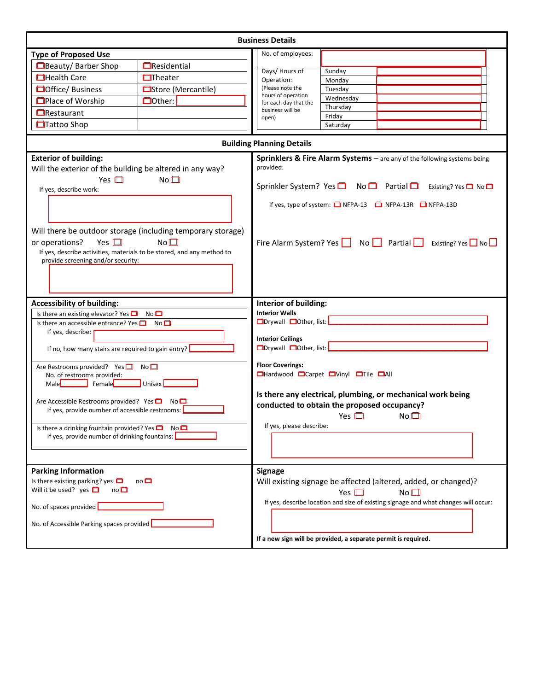| <b>Business Details</b>                                                                                                                         |                                                                                       |                                                                                |                                                                                     |  |  |  |  |  |  |
|-------------------------------------------------------------------------------------------------------------------------------------------------|---------------------------------------------------------------------------------------|--------------------------------------------------------------------------------|-------------------------------------------------------------------------------------|--|--|--|--|--|--|
| <b>Type of Proposed Use</b>                                                                                                                     |                                                                                       | No. of employees:                                                              |                                                                                     |  |  |  |  |  |  |
| Beauty/Barber Shop                                                                                                                              | <b>E</b> Residential                                                                  | Days/ Hours of                                                                 | Sunday                                                                              |  |  |  |  |  |  |
| <b>Health Care</b>                                                                                                                              | $\Box$ Theater                                                                        | Operation:                                                                     | Monday                                                                              |  |  |  |  |  |  |
| <b>Office</b> / Business                                                                                                                        | □Store (Mercantile)                                                                   | (Please note the                                                               | Tuesday                                                                             |  |  |  |  |  |  |
| <b>OPlace of Worship</b>                                                                                                                        | Dother:                                                                               | hours of operation<br>for each day that the                                    | Wednesday                                                                           |  |  |  |  |  |  |
| <b>O</b> Restaurant                                                                                                                             |                                                                                       | business will be                                                               | Thursday<br>Friday                                                                  |  |  |  |  |  |  |
| <b>□Tattoo Shop</b>                                                                                                                             |                                                                                       | open)                                                                          | Saturday                                                                            |  |  |  |  |  |  |
|                                                                                                                                                 |                                                                                       | <b>Building Planning Details</b>                                               |                                                                                     |  |  |  |  |  |  |
| <b>Exterior of building:</b>                                                                                                                    |                                                                                       |                                                                                |                                                                                     |  |  |  |  |  |  |
| Will the exterior of the building be altered in any way?<br>Yes $\Box$                                                                          | Sprinklers & Fire Alarm Systems - are any of the following systems being<br>provided: |                                                                                |                                                                                     |  |  |  |  |  |  |
| If yes, describe work:                                                                                                                          | No <sup>1</sup>                                                                       |                                                                                | Sprinkler System? Yes ■ No ■ Partial ■<br>Existing? Yes $\Box$ No $\Box$            |  |  |  |  |  |  |
|                                                                                                                                                 |                                                                                       |                                                                                | If yes, type of system: $\Box$ NFPA-13 $\Box$ NFPA-13R $\Box$ NFPA-13D              |  |  |  |  |  |  |
| Yes $\square$<br>or operations?<br>If yes, describe activities, materials to be stored, and any method to<br>provide screening and/or security: | Will there be outdoor storage (including temporary storage)<br>No <sup>1</sup>        | Fire Alarm System? Yes $\Box$ No $\Box$ Partial Existing? Yes $\Box$ No $\Box$ |                                                                                     |  |  |  |  |  |  |
| <b>Accessibility of building:</b>                                                                                                               | Interior of building:                                                                 |                                                                                |                                                                                     |  |  |  |  |  |  |
| Is there an existing elevator? Yes $\Box$                                                                                                       | No <sup>1</sup>                                                                       | <b>Interior Walls</b>                                                          |                                                                                     |  |  |  |  |  |  |
| Is there an accessible entrance? Yes $\Box$ No $\Box$                                                                                           |                                                                                       | □Drywall □Other, list:                                                         |                                                                                     |  |  |  |  |  |  |
| If yes, describe:                                                                                                                               | <b>Interior Ceilings</b>                                                              |                                                                                |                                                                                     |  |  |  |  |  |  |
| If no, how many stairs are required to gain entry?                                                                                              |                                                                                       | □Drywall □Other, list:                                                         |                                                                                     |  |  |  |  |  |  |
| Are Restrooms provided? Yes□ No□                                                                                                                | <b>Floor Coverings:</b>                                                               |                                                                                |                                                                                     |  |  |  |  |  |  |
| No. of restrooms provided:                                                                                                                      |                                                                                       | <b>OHardwood OCarpet OVinyl OTile OAII</b>                                     |                                                                                     |  |  |  |  |  |  |
| Male<br>FemaleL                                                                                                                                 |                                                                                       |                                                                                |                                                                                     |  |  |  |  |  |  |
| Are Accessible Restrooms provided? Yes $\Box$ No $\Box$                                                                                         |                                                                                       |                                                                                | Is there any electrical, plumbing, or mechanical work being                         |  |  |  |  |  |  |
| If yes, provide number of accessible restrooms:                                                                                                 | conducted to obtain the proposed occupancy?                                           |                                                                                |                                                                                     |  |  |  |  |  |  |
|                                                                                                                                                 | Yes $\square$<br>No <sub>1</sub>                                                      |                                                                                |                                                                                     |  |  |  |  |  |  |
| Is there a drinking fountain provided? Yes $\Box$ No $\Box$<br>If yes, provide number of drinking fountains:                                    |                                                                                       | If yes, please describe:                                                       |                                                                                     |  |  |  |  |  |  |
|                                                                                                                                                 |                                                                                       |                                                                                |                                                                                     |  |  |  |  |  |  |
|                                                                                                                                                 |                                                                                       |                                                                                |                                                                                     |  |  |  |  |  |  |
| <b>Parking Information</b>                                                                                                                      |                                                                                       | <b>Signage</b>                                                                 |                                                                                     |  |  |  |  |  |  |
| Is there existing parking? yes $\Box$<br>$no\Box$                                                                                               |                                                                                       |                                                                                | Will existing signage be affected (altered, added, or changed)?                     |  |  |  |  |  |  |
| Will it be used? yes $\Box$<br>$no\Box$                                                                                                         | Yes $\Box$<br>No <sub>1</sub>                                                         |                                                                                |                                                                                     |  |  |  |  |  |  |
| No. of spaces provided                                                                                                                          |                                                                                       |                                                                                | If yes, describe location and size of existing signage and what changes will occur: |  |  |  |  |  |  |
| No. of Accessible Parking spaces provided                                                                                                       |                                                                                       |                                                                                |                                                                                     |  |  |  |  |  |  |
|                                                                                                                                                 |                                                                                       | If a new sign will be provided, a separate permit is required.                 |                                                                                     |  |  |  |  |  |  |